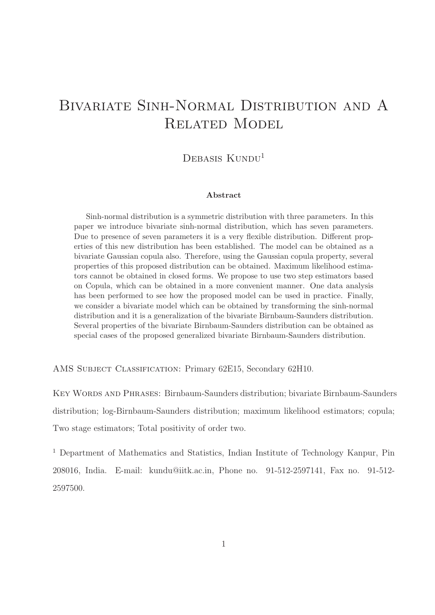# Bivariate Sinh-Normal Distribution and A RELATED MODEL

## DEBASIS KUNDU<sup>1</sup>

#### Abstract

Sinh-normal distribution is a symmetric distribution with three parameters. In this paper we introduce bivariate sinh-normal distribution, which has seven parameters. Due to presence of seven parameters it is a very flexible distribution. Different properties of this new distribution has been established. The model can be obtained as a bivariate Gaussian copula also. Therefore, using the Gaussian copula property, several properties of this proposed distribution can be obtained. Maximum likelihood estimators cannot be obtained in closed forms. We propose to use two step estimators based on Copula, which can be obtained in a more convenient manner. One data analysis has been performed to see how the proposed model can be used in practice. Finally, we consider a bivariate model which can be obtained by transforming the sinh-normal distribution and it is a generalization of the bivariate Birnbaum-Saunders distribution. Several properties of the bivariate Birnbaum-Saunders distribution can be obtained as special cases of the proposed generalized bivariate Birnbaum-Saunders distribution.

AMS Subject Classification: Primary 62E15, Secondary 62H10.

Key Words and Phrases: Birnbaum-Saunders distribution; bivariate Birnbaum-Saunders distribution; log-Birnbaum-Saunders distribution; maximum likelihood estimators; copula; Two stage estimators; Total positivity of order two.

<sup>1</sup> Department of Mathematics and Statistics, Indian Institute of Technology Kanpur, Pin 208016, India. E-mail: kundu@iitk.ac.in, Phone no. 91-512-2597141, Fax no. 91-512- 2597500.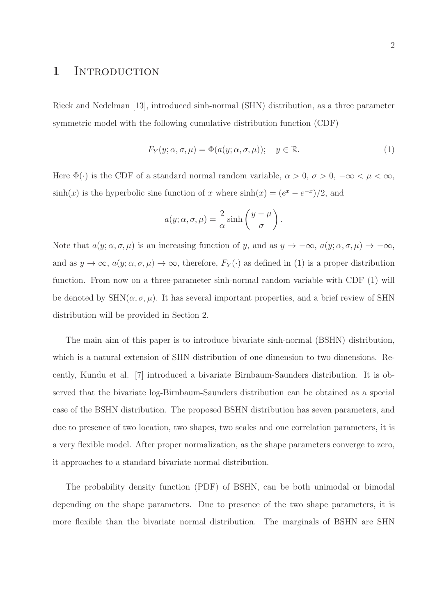## 1 INTRODUCTION

Rieck and Nedelman [13], introduced sinh-normal (SHN) distribution, as a three parameter symmetric model with the following cumulative distribution function (CDF)

$$
F_Y(y; \alpha, \sigma, \mu) = \Phi(a(y; \alpha, \sigma, \mu)); \quad y \in \mathbb{R}.
$$
 (1)

Here  $\Phi(\cdot)$  is the CDF of a standard normal random variable,  $\alpha > 0$ ,  $\sigma > 0$ ,  $-\infty < \mu < \infty$ ,  $sinh(x)$  is the hyperbolic sine function of x where  $sinh(x) = (e^x - e^{-x})/2$ , and

$$
a(y; \alpha, \sigma, \mu) = \frac{2}{\alpha} \sinh\left(\frac{y-\mu}{\sigma}\right).
$$

Note that  $a(y; \alpha, \sigma, \mu)$  is an increasing function of y, and as  $y \to -\infty$ ,  $a(y; \alpha, \sigma, \mu) \to -\infty$ , and as  $y \to \infty$ ,  $a(y; \alpha, \sigma, \mu) \to \infty$ , therefore,  $F_Y(\cdot)$  as defined in (1) is a proper distribution function. From now on a three-parameter sinh-normal random variable with CDF (1) will be denoted by  $SHN(\alpha, \sigma, \mu)$ . It has several important properties, and a brief review of SHN distribution will be provided in Section 2.

The main aim of this paper is to introduce bivariate sinh-normal (BSHN) distribution, which is a natural extension of SHN distribution of one dimension to two dimensions. Recently, Kundu et al. [7] introduced a bivariate Birnbaum-Saunders distribution. It is observed that the bivariate log-Birnbaum-Saunders distribution can be obtained as a special case of the BSHN distribution. The proposed BSHN distribution has seven parameters, and due to presence of two location, two shapes, two scales and one correlation parameters, it is a very flexible model. After proper normalization, as the shape parameters converge to zero, it approaches to a standard bivariate normal distribution.

The probability density function (PDF) of BSHN, can be both unimodal or bimodal depending on the shape parameters. Due to presence of the two shape parameters, it is more flexible than the bivariate normal distribution. The marginals of BSHN are SHN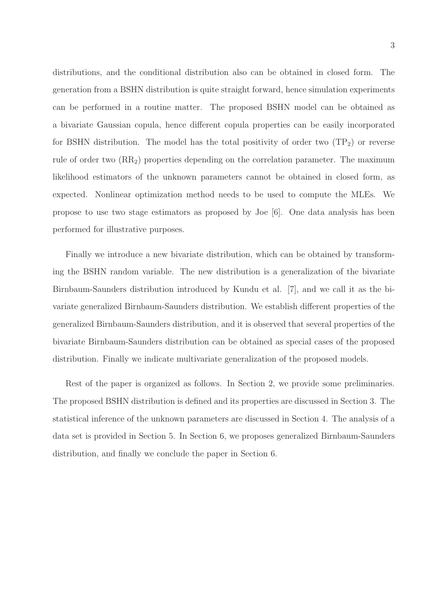distributions, and the conditional distribution also can be obtained in closed form. The generation from a BSHN distribution is quite straight forward, hence simulation experiments can be performed in a routine matter. The proposed BSHN model can be obtained as a bivariate Gaussian copula, hence different copula properties can be easily incorporated for BSHN distribution. The model has the total positivity of order two  $(\text{TP}_2)$  or reverse rule of order two  $(RR_2)$  properties depending on the correlation parameter. The maximum likelihood estimators of the unknown parameters cannot be obtained in closed form, as expected. Nonlinear optimization method needs to be used to compute the MLEs. We propose to use two stage estimators as proposed by Joe [6]. One data analysis has been performed for illustrative purposes.

Finally we introduce a new bivariate distribution, which can be obtained by transforming the BSHN random variable. The new distribution is a generalization of the bivariate Birnbaum-Saunders distribution introduced by Kundu et al. [7], and we call it as the bivariate generalized Birnbaum-Saunders distribution. We establish different properties of the generalized Birnbaum-Saunders distribution, and it is observed that several properties of the bivariate Birnbaum-Saunders distribution can be obtained as special cases of the proposed distribution. Finally we indicate multivariate generalization of the proposed models.

Rest of the paper is organized as follows. In Section 2, we provide some preliminaries. The proposed BSHN distribution is defined and its properties are discussed in Section 3. The statistical inference of the unknown parameters are discussed in Section 4. The analysis of a data set is provided in Section 5. In Section 6, we proposes generalized Birnbaum-Saunders distribution, and finally we conclude the paper in Section 6.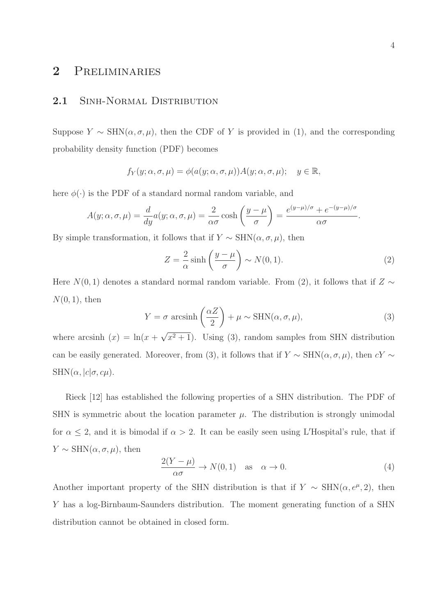# 2 Preliminaries

### 2.1 SINH-NORMAL DISTRIBUTION

Suppose  $Y \sim \text{SHN}(\alpha, \sigma, \mu)$ , then the CDF of Y is provided in (1), and the corresponding probability density function (PDF) becomes

$$
f_Y(y; \alpha, \sigma, \mu) = \phi(a(y; \alpha, \sigma, \mu))A(y; \alpha, \sigma, \mu); \quad y \in \mathbb{R},
$$

here  $\phi(\cdot)$  is the PDF of a standard normal random variable, and

$$
A(y; \alpha, \sigma, \mu) = \frac{d}{dy} a(y; \alpha, \sigma, \mu) = \frac{2}{\alpha \sigma} \cosh\left(\frac{y - \mu}{\sigma}\right) = \frac{e^{(y - \mu)/\sigma} + e^{-(y - \mu)/\sigma}}{\alpha \sigma}
$$

By simple transformation, it follows that if  $Y \sim \text{SHN}(\alpha, \sigma, \mu)$ , then

$$
Z = \frac{2}{\alpha} \sinh\left(\frac{y-\mu}{\sigma}\right) \sim N(0,1). \tag{2}
$$

Here  $N(0, 1)$  denotes a standard normal random variable. From (2), it follows that if  $Z \sim$  $N(0, 1)$ , then

$$
Y = \sigma \, \arcsinh\left(\frac{\alpha Z}{2}\right) + \mu \sim \text{SHN}(\alpha, \sigma, \mu),\tag{3}
$$

where arcsinh  $(x) = \ln(x + \sqrt{x^2 + 1})$ . Using (3), random samples from SHN distribution can be easily generated. Moreover, from (3), it follows that if  $Y \sim \text{SHN}(\alpha, \sigma, \mu)$ , then  $cY \sim$  $SHN(\alpha, |c|\sigma, c\mu).$ 

Rieck [12] has established the following properties of a SHN distribution. The PDF of SHN is symmetric about the location parameter  $\mu$ . The distribution is strongly unimodal for  $\alpha \leq 2$ , and it is bimodal if  $\alpha > 2$ . It can be easily seen using L'Hospital's rule, that if  $Y \sim \text{SHN}(\alpha, \sigma, \mu)$ , then

$$
\frac{2(Y-\mu)}{\alpha\sigma} \to N(0,1) \quad \text{as} \quad \alpha \to 0. \tag{4}
$$

Another important property of the SHN distribution is that if  $Y \sim \text{SHN}(\alpha, e^{\mu}, 2)$ , then Y has a log-Birnbaum-Saunders distribution. The moment generating function of a SHN distribution cannot be obtained in closed form.

.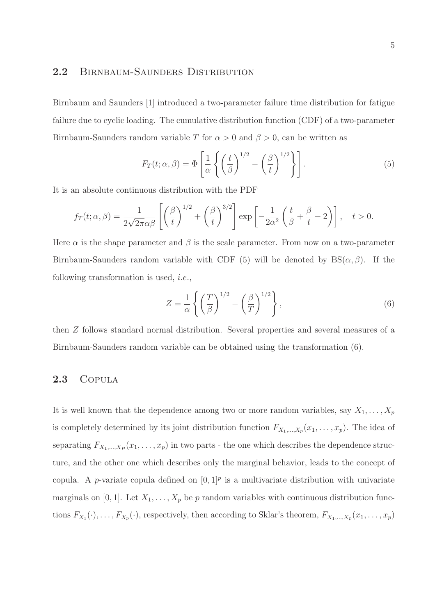### 2.2 BIRNBAUM-SAUNDERS DISTRIBUTION

Birnbaum and Saunders [1] introduced a two-parameter failure time distribution for fatigue failure due to cyclic loading. The cumulative distribution function (CDF) of a two-parameter Birnbaum-Saunders random variable T for  $\alpha > 0$  and  $\beta > 0$ , can be written as

$$
F_T(t; \alpha, \beta) = \Phi\left[\frac{1}{\alpha} \left\{ \left(\frac{t}{\beta}\right)^{1/2} - \left(\frac{\beta}{t}\right)^{1/2} \right\} \right].
$$
 (5)

It is an absolute continuous distribution with the PDF

$$
f_T(t; \alpha, \beta) = \frac{1}{2\sqrt{2\pi}\alpha\beta} \left[ \left(\frac{\beta}{t}\right)^{1/2} + \left(\frac{\beta}{t}\right)^{3/2} \right] \exp\left[ -\frac{1}{2\alpha^2} \left(\frac{t}{\beta} + \frac{\beta}{t} - 2\right) \right], \quad t > 0.
$$

Here  $\alpha$  is the shape parameter and  $\beta$  is the scale parameter. From now on a two-parameter Birnbaum-Saunders random variable with CDF (5) will be denoted by  $BS(\alpha, \beta)$ . If the following transformation is used, i.e.,

$$
Z = \frac{1}{\alpha} \left\{ \left( \frac{T}{\beta} \right)^{1/2} - \left( \frac{\beta}{T} \right)^{1/2} \right\},\tag{6}
$$

then Z follows standard normal distribution. Several properties and several measures of a Birnbaum-Saunders random variable can be obtained using the transformation (6).

### 2.3 COPULA

It is well known that the dependence among two or more random variables, say  $X_1, \ldots, X_p$ is completely determined by its joint distribution function  $F_{X_1,\dots,X_p}(x_1,\dots,x_p)$ . The idea of separating  $F_{X_1,\ldots,X_P}(x_1,\ldots,x_p)$  in two parts - the one which describes the dependence structure, and the other one which describes only the marginal behavior, leads to the concept of copula. A *p*-variate copula defined on  $[0, 1]^p$  is a multivariate distribution with univariate marginals on [0, 1]. Let  $X_1, \ldots, X_p$  be p random variables with continuous distribution functions  $F_{X_1}(\cdot), \ldots, F_{X_p}(\cdot)$ , respectively, then according to Sklar's theorem,  $F_{X_1,\ldots,X_p}(x_1,\ldots,x_p)$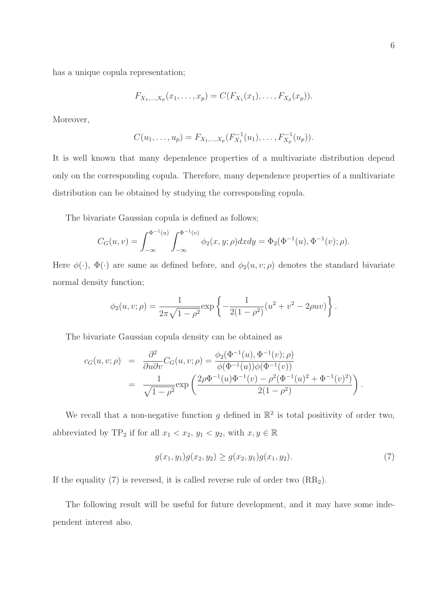has a unique copula representation;

$$
F_{X_1,...,X_p}(x_1,...,x_p) = C(F_{X_1}(x_1),...,F_{X_p}(x_p)).
$$

Moreover,

$$
C(u_1,\ldots,u_p)=F_{X_1,\ldots,X_p}(F_{X_1}^{-1}(u_1),\ldots,F_{X_p}^{-1}(u_p)).
$$

It is well known that many dependence properties of a multivariate distribution depend only on the corresponding copula. Therefore, many dependence properties of a multivariate distribution can be obtained by studying the corresponding copula.

The bivariate Gaussian copula is defined as follows;

$$
C_G(u,v) = \int_{-\infty}^{\Phi^{-1}(u)} \int_{-\infty}^{\Phi^{-1}(v)} \phi_2(x,y;\rho) dxdy = \Phi_2(\Phi^{-1}(u), \Phi^{-1}(v); \rho).
$$

Here  $\phi(\cdot)$ ,  $\Phi(\cdot)$  are same as defined before, and  $\phi_2(u, v; \rho)$  denotes the standard bivariate normal density function;

$$
\phi_2(u, v; \rho) = \frac{1}{2\pi\sqrt{1 - \rho^2}} \exp\left\{-\frac{1}{2(1 - \rho^2)}(u^2 + v^2 - 2\rho uv)\right\}.
$$

The bivariate Gaussian copula density can be obtained as

$$
c_G(u, v; \rho) = \frac{\partial^2}{\partial u \partial v} C_G(u, v; \rho) = \frac{\phi_2(\Phi^{-1}(u), \Phi^{-1}(v); \rho)}{\phi(\Phi^{-1}(u))\phi(\Phi^{-1}(v))}
$$
  
= 
$$
\frac{1}{\sqrt{1 - \rho^2}} \exp\left(\frac{2\rho \Phi^{-1}(u)\Phi^{-1}(v) - \rho^2(\Phi^{-1}(u)^2 + \Phi^{-1}(v)^2)}{2(1 - \rho^2)}\right).
$$

We recall that a non-negative function g defined in  $\mathbb{R}^2$  is total positivity of order two, abbreviated by TP<sub>2</sub> if for all  $x_1 < x_2, y_1 < y_2$ , with  $x, y \in \mathbb{R}$ 

$$
g(x_1, y_1)g(x_2, y_2) \ge g(x_2, y_1)g(x_1, y_2). \tag{7}
$$

If the equality  $(7)$  is reversed, it is called reverse rule of order two  $(RR<sub>2</sub>)$ .

The following result will be useful for future development, and it may have some independent interest also.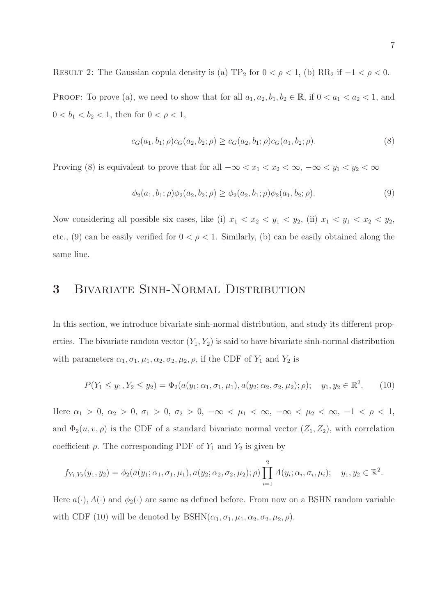RESULT 2: The Gaussian copula density is (a)  $TP_2$  for  $0 < \rho < 1$ , (b)  $RR_2$  if  $-1 < \rho < 0$ . PROOF: To prove (a), we need to show that for all  $a_1, a_2, b_1, b_2 \in \mathbb{R}$ , if  $0 < a_1 < a_2 < 1$ , and  $0 < b_1 < b_2 < 1$ , then for  $0 < \rho < 1$ ,

$$
c_G(a_1, b_1; \rho)c_G(a_2, b_2; \rho) \ge c_G(a_2, b_1; \rho)c_G(a_1, b_2; \rho).
$$
\n(8)

Proving (8) is equivalent to prove that for all  $-\infty < x_1 < x_2 < \infty$ ,  $-\infty < y_1 < y_2 < \infty$ 

$$
\phi_2(a_1, b_1; \rho)\phi_2(a_2, b_2; \rho) \ge \phi_2(a_2, b_1; \rho)\phi_2(a_1, b_2; \rho).
$$
\n(9)

Now considering all possible six cases, like (i)  $x_1 < x_2 < y_1 < y_2$ , (ii)  $x_1 < y_1 < x_2 < y_2$ , etc., (9) can be easily verified for  $0 < \rho < 1$ . Similarly, (b) can be easily obtained along the same line.

# 3 Bivariate Sinh-Normal Distribution

In this section, we introduce bivariate sinh-normal distribution, and study its different properties. The bivariate random vector  $(Y_1, Y_2)$  is said to have bivariate sinh-normal distribution with parameters  $\alpha_1, \sigma_1, \mu_1, \alpha_2, \sigma_2, \mu_2, \rho$ , if the CDF of  $Y_1$  and  $Y_2$  is

$$
P(Y_1 \le y_1, Y_2 \le y_2) = \Phi_2(a(y_1; \alpha_1, \sigma_1, \mu_1), a(y_2; \alpha_2, \sigma_2, \mu_2); \rho); \quad y_1, y_2 \in \mathbb{R}^2. \tag{10}
$$

Here  $\alpha_1 > 0$ ,  $\alpha_2 > 0$ ,  $\sigma_1 > 0$ ,  $\sigma_2 > 0$ ,  $-\infty < \mu_1 < \infty$ ,  $-\infty < \mu_2 < \infty$ ,  $-1 < \rho < 1$ , and  $\Phi_2(u, v, \rho)$  is the CDF of a standard bivariate normal vector  $(Z_1, Z_2)$ , with correlation coefficient  $\rho$ . The corresponding PDF of  $Y_1$  and  $Y_2$  is given by

$$
f_{Y_1,Y_2}(y_1,y_2)=\phi_2(a(y_1;\alpha_1,\sigma_1,\mu_1),a(y_2;\alpha_2,\sigma_2,\mu_2);\rho)\prod_{i=1}^2A(y_i;\alpha_i,\sigma_i,\mu_i); \quad y_1,y_2\in\mathbb{R}^2.
$$

Here  $a(\cdot), A(\cdot)$  and  $\phi_2(\cdot)$  are same as defined before. From now on a BSHN random variable with CDF (10) will be denoted by  $BSHN(\alpha_1, \sigma_1, \mu_1, \alpha_2, \sigma_2, \mu_2, \rho)$ .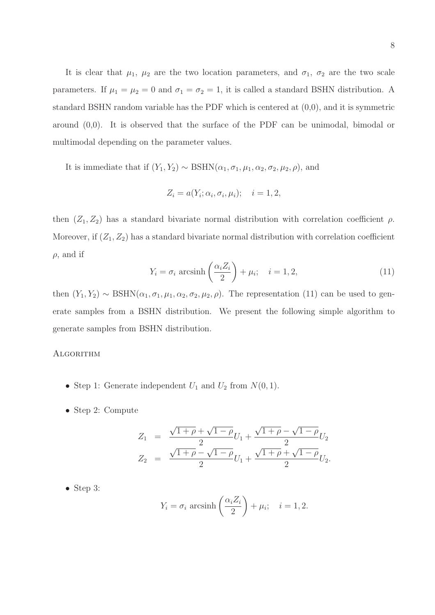It is clear that  $\mu_1$ ,  $\mu_2$  are the two location parameters, and  $\sigma_1$ ,  $\sigma_2$  are the two scale parameters. If  $\mu_1 = \mu_2 = 0$  and  $\sigma_1 = \sigma_2 = 1$ , it is called a standard BSHN distribution. A standard BSHN random variable has the PDF which is centered at (0,0), and it is symmetric around (0,0). It is observed that the surface of the PDF can be unimodal, bimodal or multimodal depending on the parameter values.

It is immediate that if  $(Y_1, Y_2) \sim \text{BSHN}(\alpha_1, \sigma_1, \mu_1, \alpha_2, \sigma_2, \mu_2, \rho)$ , and

$$
Z_i = a(Y_i; \alpha_i, \sigma_i, \mu_i); \quad i = 1, 2,
$$

then  $(Z_1, Z_2)$  has a standard bivariate normal distribution with correlation coefficient  $\rho$ . Moreover, if  $(Z_1, Z_2)$  has a standard bivariate normal distribution with correlation coefficient  $\rho$ , and if

$$
Y_i = \sigma_i \operatorname{arcsinh}\left(\frac{\alpha_i Z_i}{2}\right) + \mu_i; \quad i = 1, 2,
$$
\n(11)

then  $(Y_1, Y_2) \sim \text{BSHN}(\alpha_1, \sigma_1, \mu_1, \alpha_2, \sigma_2, \mu_2, \rho)$ . The representation (11) can be used to generate samples from a BSHN distribution. We present the following simple algorithm to generate samples from BSHN distribution.

#### **ALGORITHM**

- Step 1: Generate independent  $U_1$  and  $U_2$  from  $N(0, 1)$ .
- Step 2: Compute

$$
Z_1 = \frac{\sqrt{1+\rho} + \sqrt{1-\rho}}{2}U_1 + \frac{\sqrt{1+\rho} - \sqrt{1-\rho}}{2}U_2
$$
  

$$
Z_2 = \frac{\sqrt{1+\rho} - \sqrt{1-\rho}}{2}U_1 + \frac{\sqrt{1+\rho} + \sqrt{1-\rho}}{2}U_2.
$$

• Step 3:

$$
Y_i = \sigma_i \operatorname{arcsinh}\left(\frac{\alpha_i Z_i}{2}\right) + \mu_i; \quad i = 1, 2.
$$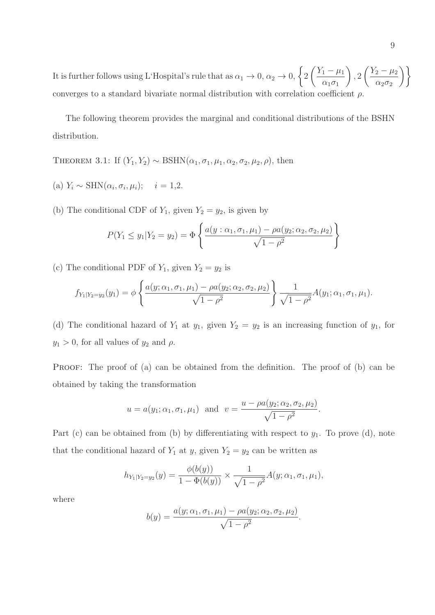It is further follows using L'Hospital's rule that as  $\alpha_1 \to 0$ ,  $\alpha_2 \to 0$ ,  $\Big\{2$  $\left( \frac{Y_1 - \mu_1}{\mu_1} \right)$  $\alpha_1\sigma_1$  $\setminus$ , 2  $\sqrt{\frac{Y_2 - \mu_2}{Y_2}}$  $\alpha_2 \sigma_2$  $\setminus$ converges to a standard bivariate normal distribution with correlation coefficient  $\rho$ .

The following theorem provides the marginal and conditional distributions of the BSHN distribution.

THEOREM 3.1: If  $(Y_1, Y_2) \sim \text{BSHN}(\alpha_1, \sigma_1, \mu_1, \alpha_2, \sigma_2, \mu_2, \rho)$ , then

(a)  $Y_i \sim \text{SHN}(\alpha_i, \sigma_i, \mu_i); \quad i = 1, 2.$ 

(b) The conditional CDF of  $Y_1$ , given  $Y_2 = y_2$ , is given by

$$
P(Y_1 \le y_1 | Y_2 = y_2) = \Phi\left\{\frac{a(y : \alpha_1, \sigma_1, \mu_1) - \rho a(y_2; \alpha_2, \sigma_2, \mu_2)}{\sqrt{1 - \rho^2}}\right\}
$$

(c) The conditional PDF of  $Y_1$ , given  $Y_2 = y_2$  is

$$
f_{Y_1|Y_2=y_2}(y_1)=\phi\left\{\frac{a(y;\alpha_1,\sigma_1,\mu_1)-\rho a(y_2;\alpha_2,\sigma_2,\mu_2)}{\sqrt{1-\rho^2}}\right\}\frac{1}{\sqrt{1-\rho^2}}A(y_1;\alpha_1,\sigma_1,\mu_1).
$$

(d) The conditional hazard of  $Y_1$  at  $y_1$ , given  $Y_2 = y_2$  is an increasing function of  $y_1$ , for  $y_1 > 0$ , for all values of  $y_2$  and  $\rho$ .

PROOF: The proof of (a) can be obtained from the definition. The proof of (b) can be obtained by taking the transformation

$$
u = a(y_1; \alpha_1, \sigma_1, \mu_1)
$$
 and  $v = \frac{u - \rho a(y_2; \alpha_2, \sigma_2, \mu_2)}{\sqrt{1 - \rho^2}}$ .

Part (c) can be obtained from (b) by differentiating with respect to  $y_1$ . To prove (d), note that the conditional hazard of  $Y_1$  at y, given  $Y_2 = y_2$  can be written as

$$
h_{Y_1|Y_2=y_2}(y)=\frac{\phi(b(y))}{1-\Phi(b(y))}\times\frac{1}{\sqrt{1-\rho^2}}A(y;\alpha_1,\sigma_1,\mu_1),
$$

where

$$
b(y) = \frac{a(y; \alpha_1, \sigma_1, \mu_1) - \rho a(y_2; \alpha_2, \sigma_2, \mu_2)}{\sqrt{1 - \rho^2}}.
$$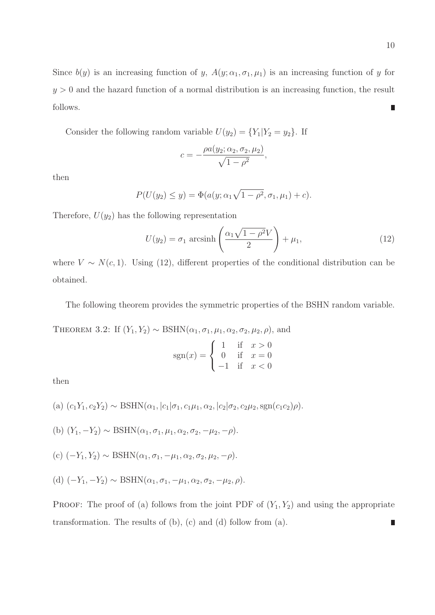Since  $b(y)$  is an increasing function of y,  $A(y; \alpha_1, \sigma_1, \mu_1)$  is an increasing function of y for  $y > 0$  and the hazard function of a normal distribution is an increasing function, the result follows.  $\blacksquare$ 

Consider the following random variable  $U(y_2) = \{Y_1 | Y_2 = y_2\}$ . If

$$
c = -\frac{\rho a(y_2; \alpha_2, \sigma_2, \mu_2)}{\sqrt{1 - \rho^2}},
$$

then

$$
P(U(y_2) \le y) = \Phi(a(y; \alpha_1 \sqrt{1 - \rho^2}, \sigma_1, \mu_1) + c).
$$

Therefore,  $U(y_2)$  has the following representation

$$
U(y_2) = \sigma_1 \operatorname{arcsinh}\left(\frac{\alpha_1 \sqrt{1 - \rho^2} V}{2}\right) + \mu_1,\tag{12}
$$

where  $V \sim N(c, 1)$ . Using (12), different properties of the conditional distribution can be obtained.

The following theorem provides the symmetric properties of the BSHN random variable.

THEOREM 3.2: If  $(Y_1, Y_2) \sim \text{BSHN}(\alpha_1, \sigma_1, \mu_1, \alpha_2, \sigma_2, \mu_2, \rho)$ , and

$$
sgn(x) = \begin{cases} 1 & \text{if } x > 0 \\ 0 & \text{if } x = 0 \\ -1 & \text{if } x < 0 \end{cases}
$$

then

(a) 
$$
(c_1Y_1, c_2Y_2) \sim \text{BSHN}(\alpha_1, |c_1|\sigma_1, c_1\mu_1, \alpha_2, |c_2|\sigma_2, c_2\mu_2, \text{sgn}(c_1c_2)\rho).
$$

- (b)  $(Y_1, -Y_2) \sim \text{BSHN}(\alpha_1, \sigma_1, \mu_1, \alpha_2, \sigma_2, -\mu_2, -\rho).$
- (c)  $(-Y_1, Y_2) \sim \text{BSHN}(\alpha_1, \sigma_1, -\mu_1, \alpha_2, \sigma_2, \mu_2, -\rho).$
- (d)  $(-Y_1, -Y_2) \sim \text{BSHN}(\alpha_1, \sigma_1, -\mu_1, \alpha_2, \sigma_2, -\mu_2, \rho).$

PROOF: The proof of (a) follows from the joint PDF of  $(Y_1, Y_2)$  and using the appropriate transformation. The results of (b), (c) and (d) follow from (a).П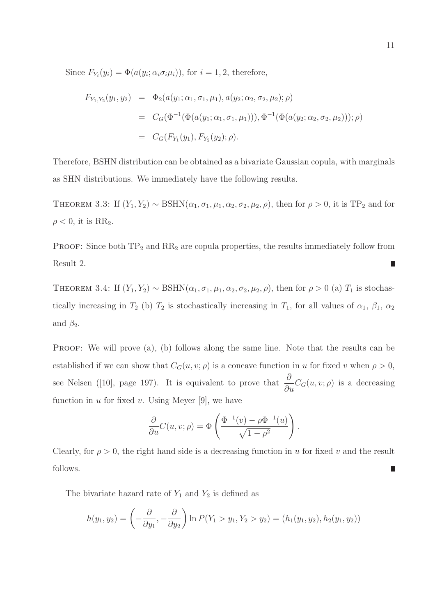Since  $F_{Y_i}(y_i) = \Phi(a(y_i; \alpha_i \sigma_i \mu_i))$ , for  $i = 1, 2$ , therefore,

$$
F_{Y_1,Y_2}(y_1, y_2) = \Phi_2(a(y_1; \alpha_1, \sigma_1, \mu_1), a(y_2; \alpha_2, \sigma_2, \mu_2); \rho)
$$
  
=  $C_G(\Phi^{-1}(\Phi(a(y_1; \alpha_1, \sigma_1, \mu_1))), \Phi^{-1}(\Phi(a(y_2; \alpha_2, \sigma_2, \mu_2))); \rho)$   
=  $C_G(F_{Y_1}(y_1), F_{Y_2}(y_2); \rho).$ 

Therefore, BSHN distribution can be obtained as a bivariate Gaussian copula, with marginals as SHN distributions. We immediately have the following results.

THEOREM 3.3: If  $(Y_1, Y_2) \sim \text{BSHN}(\alpha_1, \sigma_1, \mu_1, \alpha_2, \sigma_2, \mu_2, \rho)$ , then for  $\rho > 0$ , it is TP<sub>2</sub> and for  $\rho < 0$ , it is RR<sub>2</sub>.

PROOF: Since both  $TP_2$  and  $RR_2$  are copula properties, the results immediately follow from Result 2.  $\blacksquare$ 

THEOREM 3.4: If  $(Y_1, Y_2) \sim \text{BSHN}(\alpha_1, \sigma_1, \mu_1, \alpha_2, \sigma_2, \mu_2, \rho)$ , then for  $\rho > 0$  (a)  $T_1$  is stochastically increasing in  $T_2$  (b)  $T_2$  is stochastically increasing in  $T_1$ , for all values of  $\alpha_1$ ,  $\beta_1$ ,  $\alpha_2$ and  $\beta_2$ .

PROOF: We will prove (a), (b) follows along the same line. Note that the results can be established if we can show that  $C_G(u, v; \rho)$  is a concave function in u for fixed v when  $\rho > 0$ , see Nelsen ([10], page 197). It is equivalent to prove that  $\frac{\partial}{\partial \theta}$  $\frac{\partial}{\partial u}C_G(u, v; \rho)$  is a decreasing function in  $u$  for fixed  $v$ . Using Meyer [9], we have

$$
\frac{\partial}{\partial u}C(u, v; \rho) = \Phi\left(\frac{\Phi^{-1}(v) - \rho \Phi^{-1}(u)}{\sqrt{1 - \rho^2}}\right).
$$

Clearly, for  $\rho > 0$ , the right hand side is a decreasing function in u for fixed v and the result follows. П

The bivariate hazard rate of  $Y_1$  and  $Y_2$  is defined as

$$
h(y_1, y_2) = \left(-\frac{\partial}{\partial y_1}, -\frac{\partial}{\partial y_2}\right) \ln P(Y_1 > y_1, Y_2 > y_2) = (h_1(y_1, y_2), h_2(y_1, y_2))
$$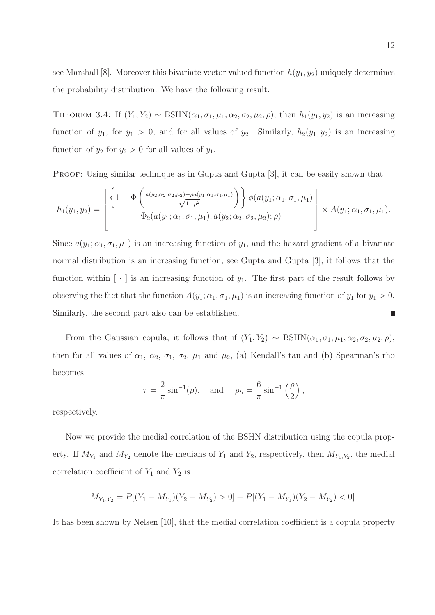see Marshall [8]. Moreover this bivariate vector valued function  $h(y_1, y_2)$  uniquely determines the probability distribution. We have the following result.

THEOREM 3.4: If  $(Y_1, Y_2) \sim \text{BSHN}(\alpha_1, \sigma_1, \mu_1, \alpha_2, \sigma_2, \mu_2, \rho)$ , then  $h_1(y_1, y_2)$  is an increasing function of  $y_1$ , for  $y_1 > 0$ , and for all values of  $y_2$ . Similarly,  $h_2(y_1, y_2)$  is an increasing function of  $y_2$  for  $y_2 > 0$  for all values of  $y_1$ .

PROOF: Using similar technique as in Gupta and Gupta [3], it can be easily shown that

$$
h_1(y_1, y_2) = \left[ \frac{\left\{ 1 - \Phi\left( \frac{a(y_2; \alpha_2, \sigma_2, \mu_2) - \rho a(y_1; \alpha_1, \sigma_1, \mu_1)}{\sqrt{1 - \rho^2}} \right) \right\} \phi(a(y_1; \alpha_1, \sigma_1, \mu_1))}{\overline{\Phi}_2(a(y_1; \alpha_1, \sigma_1, \mu_1), a(y_2; \alpha_2, \sigma_2, \mu_2); \rho)} \right] \times A(y_1; \alpha_1, \sigma_1, \mu_1).
$$

Since  $a(y_1; \alpha_1, \sigma_1, \mu_1)$  is an increasing function of  $y_1$ , and the hazard gradient of a bivariate normal distribution is an increasing function, see Gupta and Gupta [3], it follows that the function within  $\lceil \cdot \rceil$  is an increasing function of  $y_1$ . The first part of the result follows by observing the fact that the function  $A(y_1; \alpha_1, \sigma_1, \mu_1)$  is an increasing function of  $y_1$  for  $y_1 > 0$ . Similarly, the second part also can be established. Π

From the Gaussian copula, it follows that if  $(Y_1, Y_2) \sim \text{BSHN}(\alpha_1, \sigma_1, \mu_1, \alpha_2, \sigma_2, \mu_2, \rho)$ , then for all values of  $\alpha_1$ ,  $\alpha_2$ ,  $\sigma_1$ ,  $\sigma_2$ ,  $\mu_1$  and  $\mu_2$ , (a) Kendall's tau and (b) Spearman's rho becomes

$$
\tau = \frac{2}{\pi} \sin^{-1}(\rho), \quad \text{and} \quad \rho_S = \frac{6}{\pi} \sin^{-1}\left(\frac{\rho}{2}\right),
$$

respectively.

Now we provide the medial correlation of the BSHN distribution using the copula property. If  $M_{Y_1}$  and  $M_{Y_2}$  denote the medians of  $Y_1$  and  $Y_2$ , respectively, then  $M_{Y_1,Y_2}$ , the medial correlation coefficient of  $Y_1$  and  $Y_2$  is

$$
M_{Y_1,Y_2} = P[(Y_1 - M_{Y_1})(Y_2 - M_{Y_2}) > 0] - P[(Y_1 - M_{Y_1})(Y_2 - M_{Y_2}) < 0].
$$

It has been shown by Nelsen [10], that the medial correlation coefficient is a copula property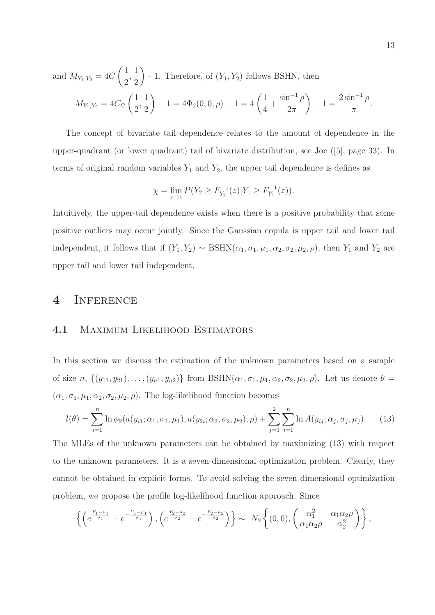and 
$$
M_{Y_1,Y_2} = 4C\left(\frac{1}{2}, \frac{1}{2}\right)
$$
 - 1. Therefore, of  $(Y_1, Y_2)$  follows BSHN, then  
\n
$$
M_{Y_1,Y_2} = 4C_G\left(\frac{1}{2}, \frac{1}{2}\right) - 1 = 4\Phi_2(0,0,\rho) - 1 = 4\left(\frac{1}{4} + \frac{\sin^{-1}\rho}{2\pi}\right) - 1 = \frac{2\sin^{-1}\rho}{\pi}.
$$

The concept of bivariate tail dependence relates to the amount of dependence in the upper-quadrant (or lower quadrant) tail of bivariate distribution, see Joe ([5], page 33). In terms of original random variables  $Y_1$  and  $Y_2$ , the upper tail dependence is defines as

$$
\chi = \lim_{z \to 1} P(Y_2 \ge F_{Y_2}^{-1}(z) | Y_1 \ge F_{Y_1}^{-1}(z)).
$$

Intuitively, the upper-tail dependence exists when there is a positive probability that some positive outliers may occur jointly. Since the Gaussian copula is upper tail and lower tail independent, it follows that if  $(Y_1, Y_2) \sim \text{BSHN}(\alpha_1, \sigma_1, \mu_1, \alpha_2, \sigma_2, \mu_2, \rho)$ , then  $Y_1$  and  $Y_2$  are upper tail and lower tail independent.

# 4 Inference

### 4.1 Maximum Likelihood Estimators

In this section we discuss the estimation of the unknown parameters based on a sample of size  $n, \{(y_{11}, y_{21}), \ldots, (y_{n1}, y_{n2})\}$  from BSHN $(\alpha_1, \sigma_1, \mu_1, \alpha_2, \sigma_2, \mu_2, \rho)$ . Let us denote  $\theta =$  $(\alpha_1, \sigma_1, \mu_1, \alpha_2, \sigma_2, \mu_2, \rho)$ . The log-likelihood function becomes

$$
l(\theta) = \sum_{i=1}^{n} \ln \phi_2(a(y_{i1}; \alpha_1, \sigma_1, \mu_1), a(y_{2i}; \alpha_2, \sigma_2, \mu_2); \rho) + \sum_{j=1}^{2} \sum_{i=1}^{n} \ln A(y_{ij}; \alpha_j, \sigma_j, \mu_j).
$$
 (13)

The MLEs of the unknown parameters can be obtained by maximizing (13) with respect to the unknown parameters. It is a seven-dimensional optimization problem. Clearly, they cannot be obtained in explicit forms. To avoid solving the seven dimensional optimization problem, we propose the profile log-likelihood function approach. Since

$$
\left\{ \left( e^{\frac{Y_1 - \mu_1}{\sigma_1}} - e^{-\frac{Y_1 - \mu_1}{\sigma_1}} \right), \left( e^{\frac{Y_2 - \mu_2}{\sigma_2}} - e^{-\frac{Y_2 - \mu_2}{\sigma_2}} \right) \right\} \sim N_2 \left\{ (0, 0), \left( \begin{array}{cc} \alpha_1^2 & \alpha_1 \alpha_2 \rho \\ \alpha_1 \alpha_2 \rho & \alpha_2^2 \end{array} \right) \right\},
$$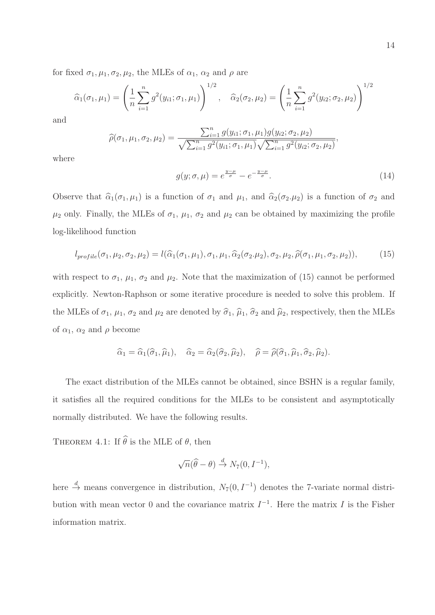for fixed  $\sigma_1, \mu_1, \sigma_2, \mu_2$ , the MLEs of  $\alpha_1, \alpha_2$  and  $\rho$  are

$$
\widehat{\alpha}_1(\sigma_1, \mu_1) = \left(\frac{1}{n} \sum_{i=1}^n g^2(y_{i1}; \sigma_1, \mu_1)\right)^{1/2}, \quad \widehat{\alpha}_2(\sigma_2, \mu_2) = \left(\frac{1}{n} \sum_{i=1}^n g^2(y_{i2}; \sigma_2, \mu_2)\right)^{1/2}
$$

and

$$
\widehat{\rho}(\sigma_1, \mu_1, \sigma_2, \mu_2) = \frac{\sum_{i=1}^n g(y_{i1}; \sigma_1, \mu_1) g(y_{i2}; \sigma_2, \mu_2)}{\sqrt{\sum_{i=1}^n g^2(y_{i1}; \sigma_1, \mu_1)} \sqrt{\sum_{i=1}^n g^2(y_{i2}; \sigma_2, \mu_2)}}
$$

where

$$
g(y; \sigma, \mu) = e^{\frac{y-\mu}{\sigma}} - e^{-\frac{y-\mu}{\sigma}}.
$$
\n(14)

,

Observe that  $\hat{\alpha}_1(\sigma_1, \mu_1)$  is a function of  $\sigma_1$  and  $\mu_1$ , and  $\hat{\alpha}_2(\sigma_2, \mu_2)$  is a function of  $\sigma_2$  and  $\mu_2$  only. Finally, the MLEs of  $\sigma_1$ ,  $\mu_1$ ,  $\sigma_2$  and  $\mu_2$  can be obtained by maximizing the profile log-likelihood function

$$
l_{profile}(\sigma_1, \mu_2, \sigma_2, \mu_2) = l(\widehat{\alpha}_1(\sigma_1, \mu_1), \sigma_1, \mu_1, \widehat{\alpha}_2(\sigma_2, \mu_2), \sigma_2, \mu_2, \widehat{\rho}(\sigma_1, \mu_1, \sigma_2, \mu_2)),
$$
(15)

with respect to  $\sigma_1$ ,  $\mu_1$ ,  $\sigma_2$  and  $\mu_2$ . Note that the maximization of (15) cannot be performed explicitly. Newton-Raphson or some iterative procedure is needed to solve this problem. If the MLEs of  $\sigma_1$ ,  $\mu_1$ ,  $\sigma_2$  and  $\mu_2$  are denoted by  $\hat{\sigma}_1$ ,  $\hat{\mu}_1$ ,  $\hat{\sigma}_2$  and  $\hat{\mu}_2$ , respectively, then the MLEs of  $\alpha_1$ ,  $\alpha_2$  and  $\rho$  become

$$
\widehat{\alpha}_1 = \widehat{\alpha}_1(\widehat{\sigma}_1, \widehat{\mu}_1), \quad \widehat{\alpha}_2 = \widehat{\alpha}_2(\widehat{\sigma}_2, \widehat{\mu}_2), \quad \widehat{\rho} = \widehat{\rho}(\widehat{\sigma}_1, \widehat{\mu}_1, \widehat{\sigma}_2, \widehat{\mu}_2).
$$

The exact distribution of the MLEs cannot be obtained, since BSHN is a regular family, it satisfies all the required conditions for the MLEs to be consistent and asymptotically normally distributed. We have the following results.

THEOREM 4.1: If  $\widehat{\theta}$  is the MLE of  $\theta$ , then

$$
\sqrt{n}(\widehat{\theta}-\theta) \stackrel{d}{\rightarrow} N_7(0,I^{-1}),
$$

here  $\stackrel{d}{\rightarrow}$  means convergence in distribution,  $N_7(0, I^{-1})$  denotes the 7-variate normal distribution with mean vector 0 and the covariance matrix  $I^{-1}$ . Here the matrix I is the Fisher information matrix.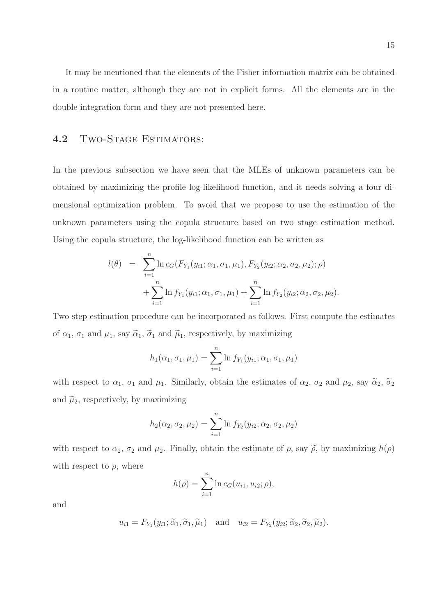It may be mentioned that the elements of the Fisher information matrix can be obtained in a routine matter, although they are not in explicit forms. All the elements are in the double integration form and they are not presented here.

### 4.2 TWO-STAGE ESTIMATORS:

In the previous subsection we have seen that the MLEs of unknown parameters can be obtained by maximizing the profile log-likelihood function, and it needs solving a four dimensional optimization problem. To avoid that we propose to use the estimation of the unknown parameters using the copula structure based on two stage estimation method. Using the copula structure, the log-likelihood function can be written as

$$
l(\theta) = \sum_{i=1}^{n} \ln c_G(F_{Y_1}(y_{i1}; \alpha_1, \sigma_1, \mu_1), F_{Y_2}(y_{i2}; \alpha_2, \sigma_2, \mu_2); \rho) + \sum_{i=1}^{n} \ln f_{Y_1}(y_{i1}; \alpha_1, \sigma_1, \mu_1) + \sum_{i=1}^{n} \ln f_{Y_2}(y_{i2}; \alpha_2, \sigma_2, \mu_2).
$$

Two step estimation procedure can be incorporated as follows. First compute the estimates of  $\alpha_1$ ,  $\sigma_1$  and  $\mu_1$ , say  $\tilde{\alpha}_1$ ,  $\tilde{\sigma}_1$  and  $\tilde{\mu}_1$ , respectively, by maximizing

$$
h_1(\alpha_1, \sigma_1, \mu_1) = \sum_{i=1}^n \ln f_{Y_1}(y_{i1}; \alpha_1, \sigma_1, \mu_1)
$$

with respect to  $\alpha_1$ ,  $\sigma_1$  and  $\mu_1$ . Similarly, obtain the estimates of  $\alpha_2$ ,  $\sigma_2$  and  $\mu_2$ , say  $\widetilde{\alpha}_2$ ,  $\widetilde{\sigma}_2$ and  $\tilde{\mu}_2$ , respectively, by maximizing

$$
h_2(\alpha_2, \sigma_2, \mu_2) = \sum_{i=1}^n \ln f_{Y_2}(y_{i2}; \alpha_2, \sigma_2, \mu_2)
$$

with respect to  $\alpha_2$ ,  $\sigma_2$  and  $\mu_2$ . Finally, obtain the estimate of  $\rho$ , say  $\tilde{\rho}$ , by maximizing  $h(\rho)$ with respect to  $\rho$ , where

$$
h(\rho) = \sum_{i=1}^{n} \ln c_G(u_{i1}, u_{i2}; \rho),
$$

and

$$
u_{i1} = F_{Y_1}(y_{i1}; \widetilde{\alpha}_1, \widetilde{\sigma}_1, \widetilde{\mu}_1) \quad \text{and} \quad u_{i2} = F_{Y_2}(y_{i2}; \widetilde{\alpha}_2, \widetilde{\sigma}_2, \widetilde{\mu}_2).
$$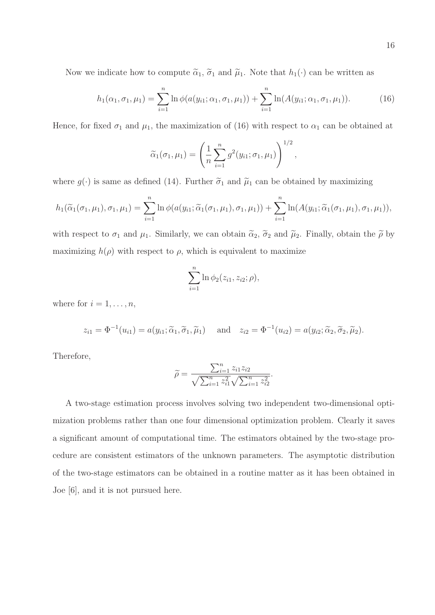Now we indicate how to compute  $\tilde{\alpha}_1$ ,  $\tilde{\sigma}_1$  and  $\tilde{\mu}_1$ . Note that  $h_1(\cdot)$  can be written as

$$
h_1(\alpha_1, \sigma_1, \mu_1) = \sum_{i=1}^n \ln \phi(a(y_{i1}; \alpha_1, \sigma_1, \mu_1)) + \sum_{i=1}^n \ln(A(y_{i1}; \alpha_1, \sigma_1, \mu_1)).
$$
 (16)

Hence, for fixed  $\sigma_1$  and  $\mu_1$ , the maximization of (16) with respect to  $\alpha_1$  can be obtained at

$$
\widetilde{\alpha}_1(\sigma_1, \mu_1) = \left(\frac{1}{n} \sum_{i=1}^n g^2(y_{i1}; \sigma_1, \mu_1)\right)^{1/2},
$$

where  $g(\cdot)$  is same as defined (14). Further  $\tilde{\sigma}_1$  and  $\tilde{\mu}_1$  can be obtained by maximizing

$$
h_1(\widetilde{\alpha}_1(\sigma_1,\mu_1),\sigma_1,\mu_1) = \sum_{i=1}^n \ln \phi(a(y_{i1}; \widetilde{\alpha}_1(\sigma_1,\mu_1),\sigma_1,\mu_1)) + \sum_{i=1}^n \ln(A(y_{i1}; \widetilde{\alpha}_1(\sigma_1,\mu_1),\sigma_1,\mu_1)),
$$

with respect to  $\sigma_1$  and  $\mu_1$ . Similarly, we can obtain  $\tilde{\alpha}_2$ ,  $\tilde{\sigma}_2$  and  $\tilde{\mu}_2$ . Finally, obtain the  $\tilde{\rho}$  by maximizing  $h(\rho)$  with respect to  $\rho$ , which is equivalent to maximize

$$
\sum_{i=1}^{n} \ln \phi_2(z_{i1}, z_{i2}; \rho),
$$

where for  $i = 1, \ldots, n$ ,

$$
z_{i1} = \Phi^{-1}(u_{i1}) = a(y_{i1}; \widetilde{\alpha}_1, \widetilde{\sigma}_1, \widetilde{\mu}_1) \quad \text{and} \quad z_{i2} = \Phi^{-1}(u_{i2}) = a(y_{i2}; \widetilde{\alpha}_2, \widetilde{\sigma}_2, \widetilde{\mu}_2).
$$

Therefore,

$$
\widetilde{\rho} = \frac{\sum_{i=1}^{n} z_{i1} z_{i2}}{\sqrt{\sum_{i=1}^{n} z_{i1}^2} \sqrt{\sum_{i=1}^{n} z_{i2}^2}}.
$$

A two-stage estimation process involves solving two independent two-dimensional optimization problems rather than one four dimensional optimization problem. Clearly it saves a significant amount of computational time. The estimators obtained by the two-stage procedure are consistent estimators of the unknown parameters. The asymptotic distribution of the two-stage estimators can be obtained in a routine matter as it has been obtained in Joe [6], and it is not pursued here.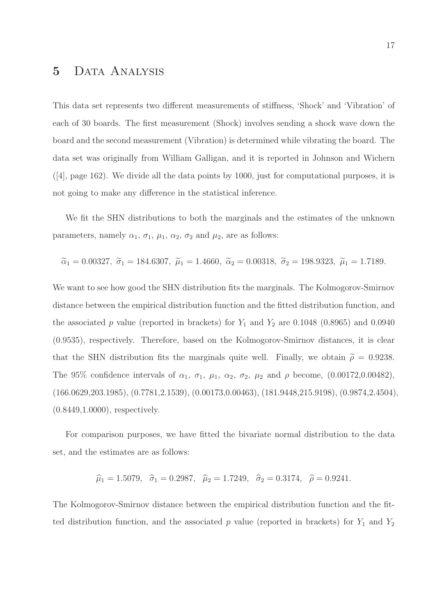# 5 Data Analysis

This data set represents two different measurements of stiffness, 'Shock' and 'Vibration' of each of 30 boards. The first measurement (Shock) involves sending a shock wave down the board and the second measurement (Vibration) is determined while vibrating the board. The data set was originally from William Galligan, and it is reported in Johnson and Wichern  $(4)$ , page 162). We divide all the data points by 1000, just for computational purposes, it is not going to make any difference in the statistical inference.

We fit the SHN distributions to both the marginals and the estimates of the unknown parameters, namely  $\alpha_1$ ,  $\sigma_1$ ,  $\mu_1$ ,  $\alpha_2$ ,  $\sigma_2$  and  $\mu_2$ , are as follows:

$$
\tilde{\alpha}_1 = 0.00327, \ \tilde{\sigma}_1 = 184.6307, \ \tilde{\mu}_1 = 1.4660, \ \tilde{\alpha}_2 = 0.00318, \ \tilde{\sigma}_2 = 198.9323, \ \tilde{\mu}_1 = 1.7189.
$$

We want to see how good the SHN distribution fits the marginals. The Kolmogorov-Smirnov distance between the empirical distribution function and the fitted distribution function, and the associated p value (reported in brackets) for  $Y_1$  and  $Y_2$  are 0.1048 (0.8965) and 0.0940 (0.9535), respectively. Therefore, based on the Kolmogorov-Smirnov distances, it is clear that the SHN distribution fits the marginals quite well. Finally, we obtain  $\tilde{\rho} = 0.9238$ . The 95% confidence intervals of  $\alpha_1$ ,  $\sigma_1$ ,  $\mu_1$ ,  $\alpha_2$ ,  $\sigma_2$ ,  $\mu_2$  and  $\rho$  become, (0.00172,0.00482), (166.0629,203.1985), (0.7781,2.1539), (0.00173,0.00463), (181.9448,215.9198), (0.9874,2.4504), (0.8449,1.0000), respectively.

For comparison purposes, we have fitted the bivariate normal distribution to the data set, and the estimates are as follows:

$$
\hat{\mu}_1 = 1.5079
$$
,  $\hat{\sigma}_1 = 0.2987$ ,  $\hat{\mu}_2 = 1.7249$ ,  $\hat{\sigma}_2 = 0.3174$ ,  $\hat{\rho} = 0.9241$ .

The Kolmogorov-Smirnov distance between the empirical distribution function and the fitted distribution function, and the associated p value (reported in brackets) for  $Y_1$  and  $Y_2$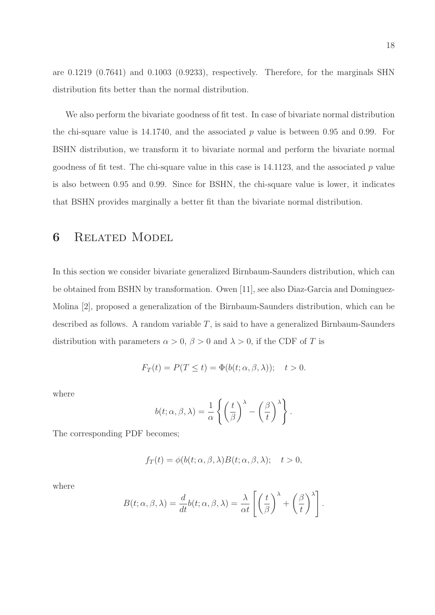are 0.1219 (0.7641) and 0.1003 (0.9233), respectively. Therefore, for the marginals SHN distribution fits better than the normal distribution.

We also perform the bivariate goodness of fit test. In case of bivariate normal distribution the chi-square value is  $14.1740$ , and the associated p value is between 0.95 and 0.99. For BSHN distribution, we transform it to bivariate normal and perform the bivariate normal goodness of fit test. The chi-square value in this case is  $14.1123$ , and the associated p value is also between 0.95 and 0.99. Since for BSHN, the chi-square value is lower, it indicates that BSHN provides marginally a better fit than the bivariate normal distribution.

# 6 Related Model

In this section we consider bivariate generalized Birnbaum-Saunders distribution, which can be obtained from BSHN by transformation. Owen [11], see also Diaz-Garcia and Dominguez-Molina [2], proposed a generalization of the Birnbaum-Saunders distribution, which can be described as follows. A random variable  $T$ , is said to have a generalized Birnbaum-Saunders distribution with parameters  $\alpha > 0$ ,  $\beta > 0$  and  $\lambda > 0$ , if the CDF of T is

$$
F_T(t) = P(T \le t) = \Phi(b(t; \alpha, \beta, \lambda)); \quad t > 0.
$$

where

$$
b(t; \alpha, \beta, \lambda) = \frac{1}{\alpha} \left\{ \left( \frac{t}{\beta} \right)^{\lambda} - \left( \frac{\beta}{t} \right)^{\lambda} \right\}.
$$

The corresponding PDF becomes;

$$
f_T(t) = \phi(b(t; \alpha, \beta, \lambda)B(t; \alpha, \beta, \lambda); \quad t > 0,
$$

where

$$
B(t; \alpha, \beta, \lambda) = \frac{d}{dt}b(t; \alpha, \beta, \lambda) = \frac{\lambda}{\alpha t} \left[ \left(\frac{t}{\beta}\right)^{\lambda} + \left(\frac{\beta}{t}\right)^{\lambda} \right].
$$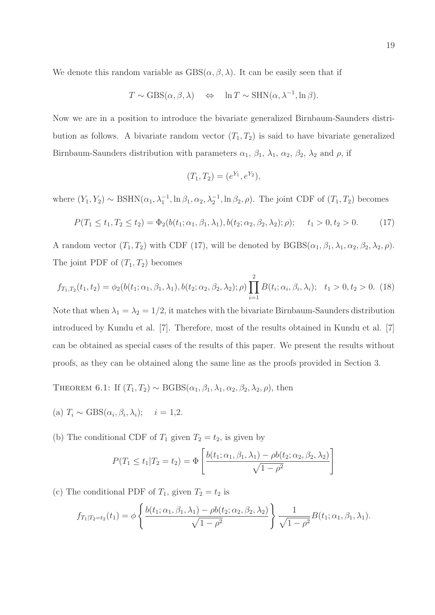We denote this random variable as  $GBS(\alpha, \beta, \lambda)$ . It can be easily seen that if

$$
T \sim \text{GBS}(\alpha, \beta, \lambda) \quad \Leftrightarrow \quad \ln T \sim \text{SHN}(\alpha, \lambda^{-1}, \ln \beta).
$$

Now we are in a position to introduce the bivariate generalized Birnbaum-Saunders distribution as follows. A bivariate random vector  $(T_1, T_2)$  is said to have bivariate generalized Birnbaum-Saunders distribution with parameters  $\alpha_1$ ,  $\beta_1$ ,  $\lambda_1$ ,  $\alpha_2$ ,  $\beta_2$ ,  $\lambda_2$  and  $\rho$ , if

$$
(T_1, T_2) = (e^{Y_1}, e^{Y_2}),
$$

where  $(Y_1, Y_2) \sim \text{BSHN}(\alpha_1, \lambda_1^{-1}, \ln \beta_1, \alpha_2, \lambda_2^{-1}, \ln \beta_2, \rho)$ . The joint CDF of  $(T_1, T_2)$  becomes

$$
P(T_1 \le t_1, T_2 \le t_2) = \Phi_2(b(t_1; \alpha_1, \beta_1, \lambda_1), b(t_2; \alpha_2, \beta_2, \lambda_2); \rho); \quad t_1 > 0, t_2 > 0. \tag{17}
$$

A random vector  $(T_1, T_2)$  with CDF (17), will be denoted by  $BGBS(\alpha_1, \beta_1, \lambda_1, \alpha_2, \beta_2, \lambda_2, \rho)$ . The joint PDF of  $(T_1, T_2)$  becomes

$$
f_{T_1,T_2}(t_1,t_2) = \phi_2(b(t_1;\alpha_1,\beta_1,\lambda_1), b(t_2;\alpha_2,\beta_2,\lambda_2); \rho) \prod_{i=1}^2 B(t_i;\alpha_i,\beta_i,\lambda_i); \quad t_1 > 0, t_2 > 0. \tag{18}
$$

Note that when  $\lambda_1 = \lambda_2 = 1/2$ , it matches with the bivariate Birnbaum-Saunders distribution introduced by Kundu et al. [7]. Therefore, most of the results obtained in Kundu et al. [7] can be obtained as special cases of the results of this paper. We present the results without proofs, as they can be obtained along the same line as the proofs provided in Section 3.

THEOREM 6.1: If  $(T_1, T_2) \sim \text{BGBS}(\alpha_1, \beta_1, \lambda_1, \alpha_2, \beta_2, \lambda_2, \rho)$ , then

- (a)  $T_i \sim \text{GBS}(\alpha_i, \beta_i, \lambda_i); \quad i = 1, 2.$
- (b) The conditional CDF of  $T_1$  given  $T_2 = t_2$ , is given by

$$
P(T_1 \le t_1 | T_2 = t_2) = \Phi\left[\frac{b(t_1; \alpha_1, \beta_1, \lambda_1) - \rho b(t_2; \alpha_2, \beta_2, \lambda_2)}{\sqrt{1 - \rho^2}}\right]
$$

(c) The conditional PDF of  $T_1$ , given  $T_2 = t_2$  is

$$
f_{T_1|T_2=t_2}(t_1) = \phi \left\{ \frac{b(t_1;\alpha_1,\beta_1,\lambda_1) - \rho b(t_2;\alpha_2,\beta_2,\lambda_2)}{\sqrt{1-\rho^2}} \right\} \frac{1}{\sqrt{1-\rho^2}} B(t_1;\alpha_1,\beta_1,\lambda_1).
$$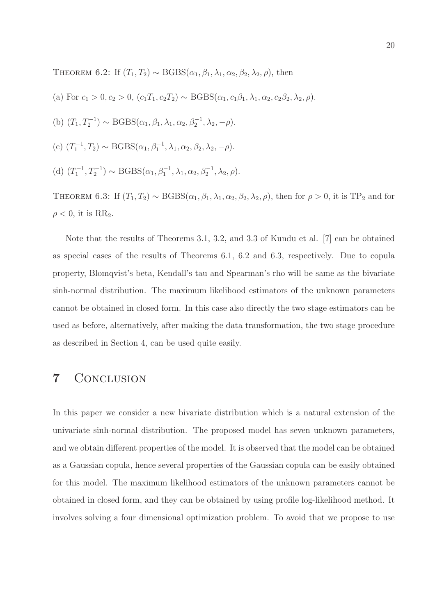THEOREM 6.2: If  $(T_1, T_2) \sim \text{BGBS}(\alpha_1, \beta_1, \lambda_1, \alpha_2, \beta_2, \lambda_2, \rho)$ , then

(a) For 
$$
c_1 > 0
$$
,  $c_2 > 0$ ,  $(c_1T_1, c_2T_2) \sim \text{BGBS}(\alpha_1, c_1\beta_1, \lambda_1, \alpha_2, c_2\beta_2, \lambda_2, \rho)$ .  
\n(b)  $(T_1, T_2^{-1}) \sim \text{BGBS}(\alpha_1, \beta_1, \lambda_1, \alpha_2, \beta_2^{-1}, \lambda_2, -\rho)$ .  
\n(c)  $(T_1^{-1}, T_2) \sim \text{BGBS}(\alpha_1, \beta_1^{-1}, \lambda_1, \alpha_2, \beta_2, \lambda_2, -\rho)$ .  
\n(d)  $(T_1^{-1}, T_2^{-1}) \sim \text{BGBS}(\alpha_1, \beta_1^{-1}, \lambda_1, \alpha_2, \beta_2^{-1}, \lambda_2, \rho)$ .

THEOREM 6.3: If  $(T_1, T_2) \sim \text{BGBS}(\alpha_1, \beta_1, \lambda_1, \alpha_2, \beta_2, \lambda_2, \rho)$ , then for  $\rho > 0$ , it is TP<sub>2</sub> and for  $\rho < 0$ , it is RR<sub>2</sub>.

Note that the results of Theorems 3.1, 3.2, and 3.3 of Kundu et al. [7] can be obtained as special cases of the results of Theorems 6.1, 6.2 and 6.3, respectively. Due to copula property, Blomqvist's beta, Kendall's tau and Spearman's rho will be same as the bivariate sinh-normal distribution. The maximum likelihood estimators of the unknown parameters cannot be obtained in closed form. In this case also directly the two stage estimators can be used as before, alternatively, after making the data transformation, the two stage procedure as described in Section 4, can be used quite easily.

# 7 CONCLUSION

In this paper we consider a new bivariate distribution which is a natural extension of the univariate sinh-normal distribution. The proposed model has seven unknown parameters, and we obtain different properties of the model. It is observed that the model can be obtained as a Gaussian copula, hence several properties of the Gaussian copula can be easily obtained for this model. The maximum likelihood estimators of the unknown parameters cannot be obtained in closed form, and they can be obtained by using profile log-likelihood method. It involves solving a four dimensional optimization problem. To avoid that we propose to use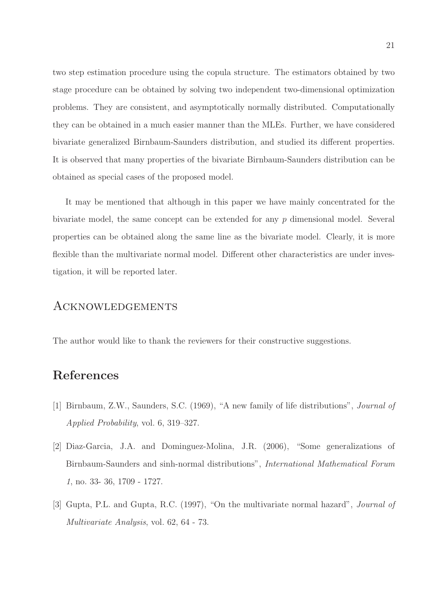two step estimation procedure using the copula structure. The estimators obtained by two stage procedure can be obtained by solving two independent two-dimensional optimization problems. They are consistent, and asymptotically normally distributed. Computationally they can be obtained in a much easier manner than the MLEs. Further, we have considered bivariate generalized Birnbaum-Saunders distribution, and studied its different properties. It is observed that many properties of the bivariate Birnbaum-Saunders distribution can be obtained as special cases of the proposed model.

It may be mentioned that although in this paper we have mainly concentrated for the bivariate model, the same concept can be extended for any p dimensional model. Several properties can be obtained along the same line as the bivariate model. Clearly, it is more flexible than the multivariate normal model. Different other characteristics are under investigation, it will be reported later.

### Acknowledgements

The author would like to thank the reviewers for their constructive suggestions.

# References

- [1] Birnbaum, Z.W., Saunders, S.C. (1969), "A new family of life distributions", Journal of Applied Probability, vol. 6, 319–327.
- [2] Diaz-Garcia, J.A. and Dominguez-Molina, J.R. (2006), "Some generalizations of Birnbaum-Saunders and sinh-normal distributions", International Mathematical Forum 1, no. 33- 36, 1709 - 1727.
- [3] Gupta, P.L. and Gupta, R.C. (1997), "On the multivariate normal hazard", Journal of Multivariate Analysis, vol. 62, 64 - 73.